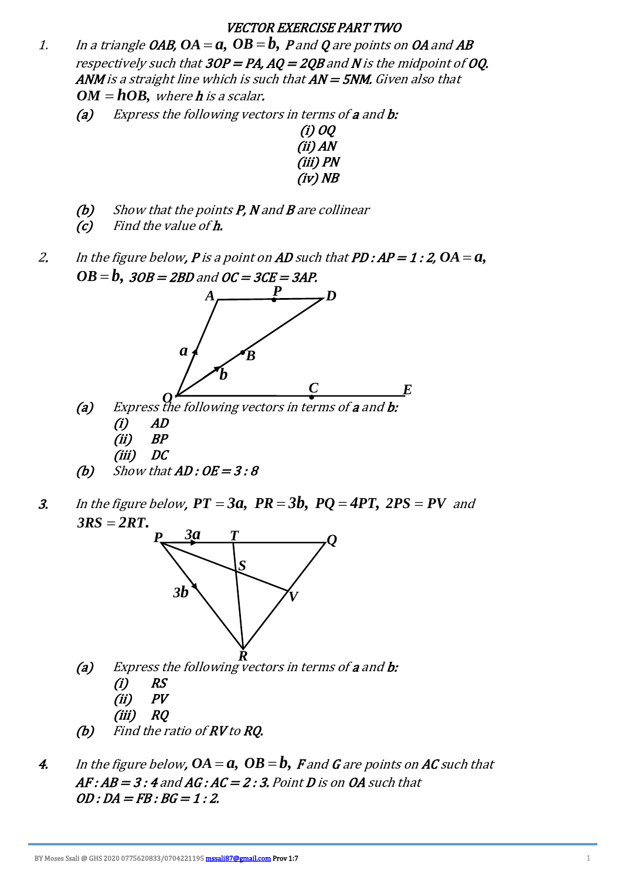## VECTOR EXERCISE PART TWO

- 1. In a triangle OAB,  $OA = a$ ,  $OB = b$ ,  $P$  and  $Q$  are points on OA and  $AB$ respectively such that  $3OP = PA$ ,  $AO = 2OB$  and N is the midpoint of OO. ANM is a straight line which is such that  $AN = 5NM$ . Given also that  $OM = hOB$ , where **h** is a scalar.
	- (a) Express the following vectors in terms of a and b:



- $(b)$  Show that the points P, N and B are collinear
- (c) Find the value of h.
- 2. In the figure below, **P** is a point on **AD** such that **PD : AP = 1 : 2, OA = a,**  $OB = b, \; \mathit{3OB} = \mathit{2BD}$  and  $OC = \mathit{3CE} = \mathit{3AP}.$



- $(ii)$  BP (iii) DC
- (b) Show that  $AD:OE = 3:8$
- 3. In the figure below,  $PT = 3a$ ,  $PR = 3b$ ,  $PQ = 4PT$ ,  $2PS = PV$  and  $3RS = 2RT$ .



- (a) Express the following vectors in terms of **a** and **b**: *R*
	- $(i)$  RS
	- $(ii)$   $PV$
	- (iii) RQ
- (b) Find the ratio of RV to RQ.
- 4. In the figure below,  $OA = a$ ,  $OB = b$ ,  $F$  and  $G$  are points on  $AC$  such that  $AF: AB = 3: 4$  and  $AG: AC = 2: 3$ . Point D is on OA such that  $OD:DA = FB:BG = 1:2.$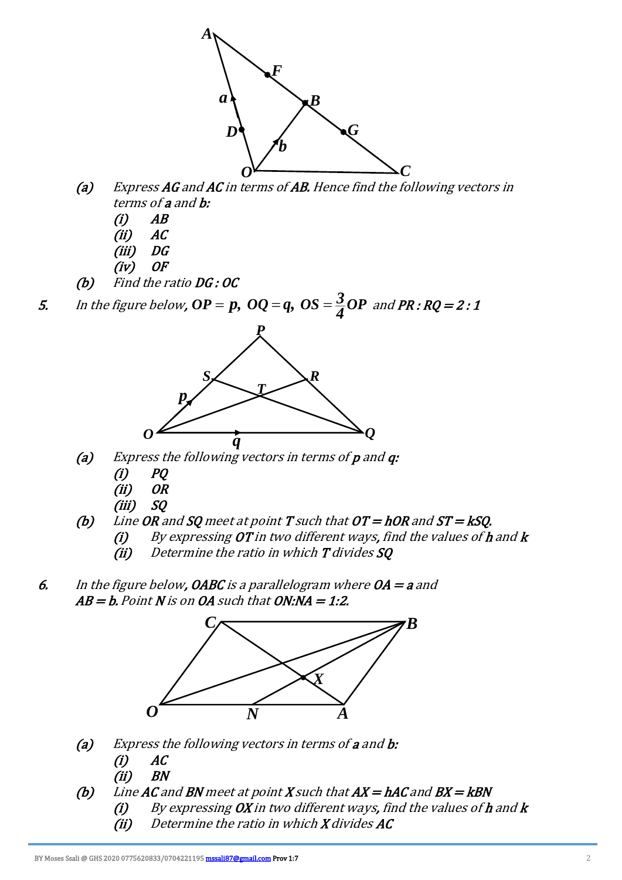

- (a) Express AG and AC in terms of AB. Hence find the following vectors in terms of a and b:
	- $(i)$   $AB$
	- $(ii)$   $AC$
	- (iii) DG
	- $(iv)$  OF
- (b) Find the ratio DG : OC

5. In the figure below,  $\bm{OP} = \bm{p}, \ \bm{OQ} = \bm{q}, \ \bm{OS} = \frac{3}{4}\bm{OP} \ \textit{and} \ \bm{PR}: \bm{RQ} = 2: \bm{1}$ 



- (a) Express the following vectors in terms of  $p$  and  $q$ :
	- $(i)$   $PQ$
	- (ii) OR
	- (iii) SQ
- (b) Line OR and SQ meet at point  $T$  such that  $OT = hOR$  and  $ST = kSQ$ .
	- (i) By expressing OT in two different ways, find the values of  $h$  and  $k$ 
		- $(ii)$  Determine the ratio in which  $T$  divides  $SQ$
- 6. In the figure below, OABC is a parallelogram where  $OA = a$  and  $AB = b$ . Point N is on OA such that ON:NA = 1:2.



- (a) Express the following vectors in terms of a and b:
	- $(i)$   $AC$
	- (ii) BN
- (b) Line AC and BN meet at point X such that  $AX = hAC$  and  $BX = kBN$ 
	- (i) By expressing  $\overline{OX}$  in two different ways, find the values of  $h$  and  $k$
	- $(ii)$  Determine the ratio in which  $X$  divides  $AC$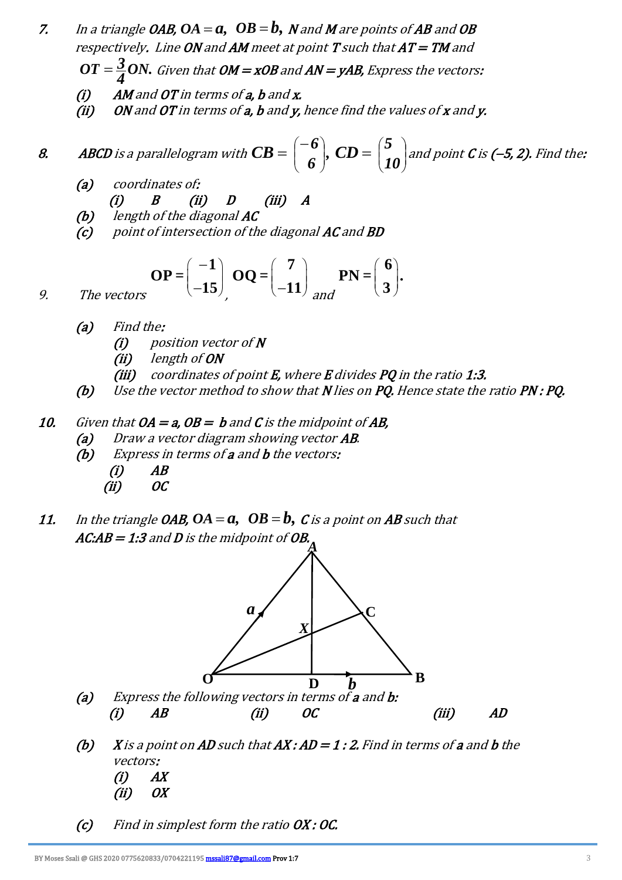- 7. In a triangle OAB,  $OA = a$ ,  $OB = b$ ,  $N$  and  $M$  are points of AB and OB respectively. Line ON and AM meet at point T such that  $AT=TM$  and
- $\overline{OT}=\frac{3}{4}ON.$  Given that  $\overline{OM}$  = xOB and AN = yAB, Express the vectors:
	- $(i)$  AM and OT in terms of a, b and x.
	- (ii) ON and OT in terms of  $a$ ,  $b$  and  $y$ , hence find the values of  $x$  and  $y$ .

**8.** ABCD is a parallelogram with 
$$
CB = \begin{pmatrix} -6 \\ 6 \end{pmatrix}
$$
,  $CD = \begin{pmatrix} 5 \\ 10 \end{pmatrix}$  and point C is (-5, 2). Find the:

- (a) coordinates of: (i) B (ii) D (iii) A
- (b) length of the diagonal AC
- $(c)$  point of intersection of the diagonal AC and BD

$$
\mathbf{OP} = \begin{pmatrix} -1 \\ -15 \end{pmatrix}, \mathbf{OQ} = \begin{pmatrix} 7 \\ -11 \end{pmatrix} \text{ and } \mathbf{PN} = \begin{pmatrix} 6 \\ 3 \end{pmatrix}.
$$

9. The vectors

- (a) Find the:
	- $(i)$  position vector of N
	- (ii) length of ON
	- (iii) coordinates of point  $E$ , where  $E$  divides  $PQ$  in the ratio 1:3.
- (b) Use the vector method to show that N lies on PQ. Hence state the ratio PN : PQ.

## 10. Given that  $OA = a$ ,  $OB = b$  and C is the midpoint of AB,

- (a) Draw a vector diagram showing vector AB.
- (b) Express in terms of a and b the vectors:
	- $(i)$   $AB$  $(ii)$  OC
- 11. In the triangle OAB,  $OA = a, \ \ OB = b, \ C$  is a point on AB such that AC:AB  $= 1$ :3 and D is the midpoint of OB.



- (b) X is a point on AD such that  $AX:AD = 1:2$ . Find in terms of a and b the vectors:  $(i)$   $AX$  $(ii)$  OX
- (c) Find in simplest form the ratio OX : OC.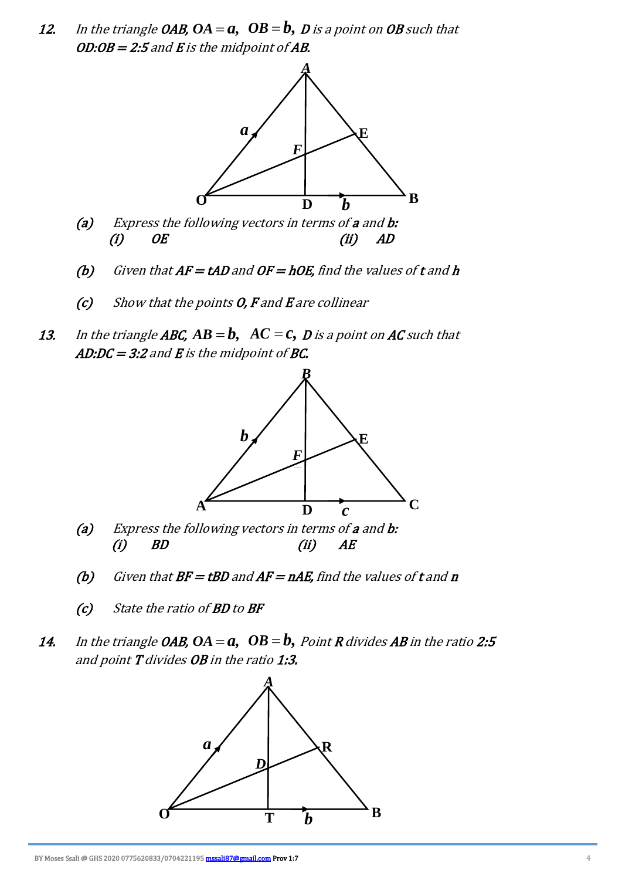12. In the triangle OAB,  $OA = a, \ \ OB = b, \ D$  is a point on  $OB$  such that OD:OB = 2:5 and E is the midpoint of AB.



- (a) Express the following vectors in terms of a and b:  $(i)$  OE (ii) AD
	- (b) Given that  $AF = tAD$  and  $OF = hOE$ , find the values of  $t$  and  $h$
	- $(c)$  Show that the points O, F and E are collinear
- 13. In the triangle **ABC,**  $AB = b, \ \ AC = c, \ D$  is a point on **AC** such that AD:DC = 3:2 and E is the midpoint of BC.



- (a) Express the following vectors in terms of a and b: (i) BD (ii) AE
	- (b) Given that  $BF = tBD$  and  $AF = nAE$ , find the values of t and n
	- (c) State the ratio of BD to BF
- 14. In the triangle OAB, OA =  $a, \;\; OB = b, \; Point \, R$  divides AB in the ratio 2:5 and point **T** divides **OB** in the ratio 1:3.